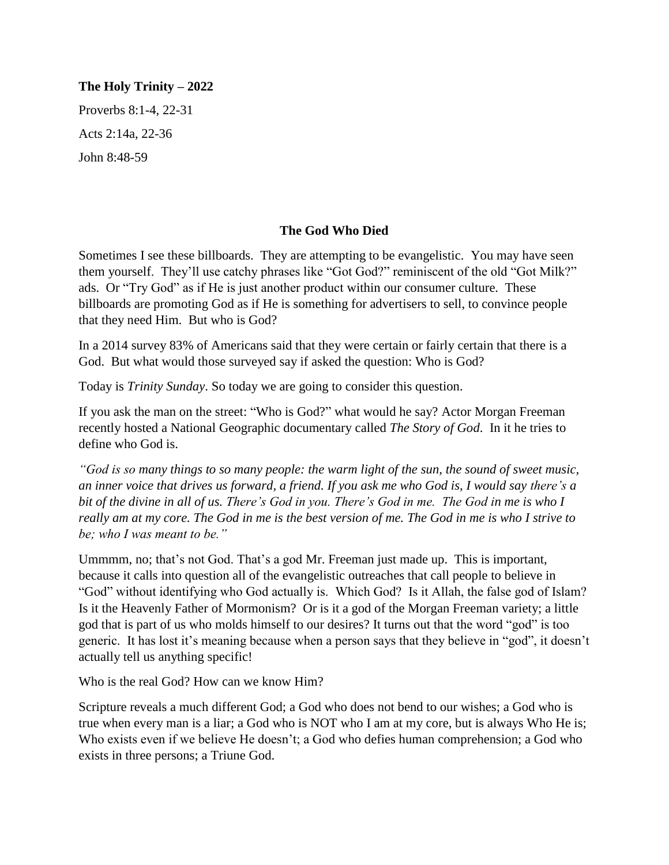### **The Holy Trinity – 2022**

Proverbs 8:1-4, 22-31 Acts 2:14a, 22-36 John 8:48-59

### **The God Who Died**

Sometimes I see these billboards. They are attempting to be evangelistic. You may have seen them yourself. They'll use catchy phrases like "Got God?" reminiscent of the old "Got Milk?" ads. Or "Try God" as if He is just another product within our consumer culture. These billboards are promoting God as if He is something for advertisers to sell, to convince people that they need Him. But who is God?

In a 2014 survey 83% of Americans said that they were certain or fairly certain that there is a God. But what would those surveyed say if asked the question: Who is God?

Today is *Trinity Sunday*. So today we are going to consider this question.

If you ask the man on the street: "Who is God?" what would he say? Actor Morgan Freeman recently hosted a National Geographic documentary called *The Story of God*. In it he tries to define who God is.

*"God is so many things to so many people: the warm light of the sun, the sound of sweet music, an inner voice that drives us forward, a friend. If you ask me who God is, I would say there's a bit of the divine in all of us. There's God in you. There's God in me. The God in me is who I really am at my core. The God in me is the best version of me. The God in me is who I strive to be; who I was meant to be."*

Ummmm, no; that's not God. That's a god Mr. Freeman just made up. This is important, because it calls into question all of the evangelistic outreaches that call people to believe in "God" without identifying who God actually is. Which God? Is it Allah, the false god of Islam? Is it the Heavenly Father of Mormonism? Or is it a god of the Morgan Freeman variety; a little god that is part of us who molds himself to our desires? It turns out that the word "god" is too generic. It has lost it's meaning because when a person says that they believe in "god", it doesn't actually tell us anything specific!

Who is the real God? How can we know Him?

Scripture reveals a much different God; a God who does not bend to our wishes; a God who is true when every man is a liar; a God who is NOT who I am at my core, but is always Who He is; Who exists even if we believe He doesn't; a God who defies human comprehension; a God who exists in three persons; a Triune God.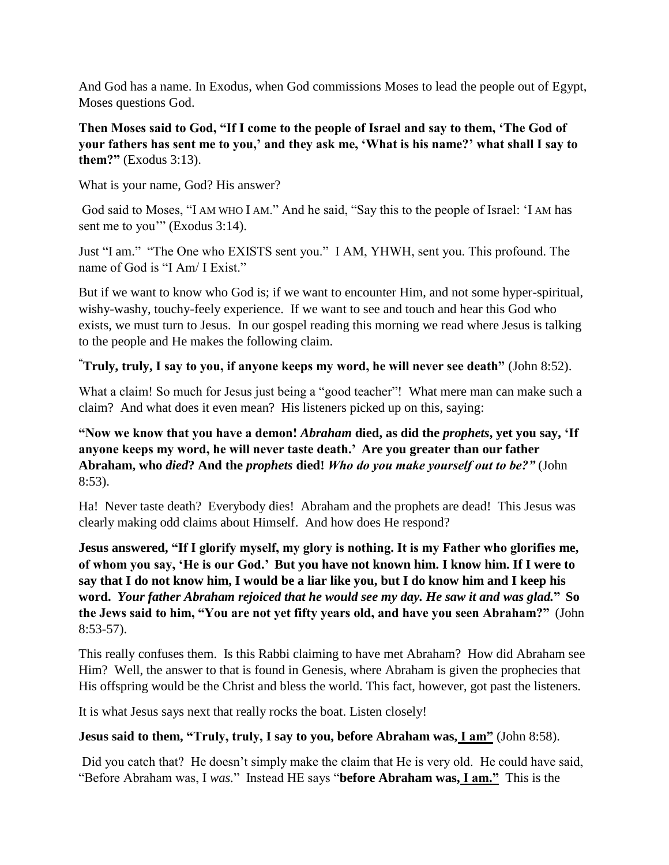And God has a name. In Exodus, when God commissions Moses to lead the people out of Egypt, Moses questions God.

**Then Moses said to God, "If I come to the people of Israel and say to them, 'The God of your fathers has sent me to you,' and they ask me, 'What is his name?' what shall I say to them?"** (Exodus 3:13).

What is your name, God? His answer?

God said to Moses, "I AM WHO I AM." And he said, "Say this to the people of Israel: 'I AM has sent me to you'" (Exodus 3:14).

Just "I am." "The One who EXISTS sent you." I AM, YHWH, sent you. This profound. The name of God is "I Am/ I Exist."

But if we want to know who God is; if we want to encounter Him, and not some hyper-spiritual, wishy-washy, touchy-feely experience. If we want to see and touch and hear this God who exists, we must turn to Jesus. In our gospel reading this morning we read where Jesus is talking to the people and He makes the following claim.

# **"Truly, truly, I say to you, if anyone keeps my word, he will never see death"** (John 8:52).

What a claim! So much for Jesus just being a "good teacher"! What mere man can make such a claim? And what does it even mean? His listeners picked up on this, saying:

**"Now we know that you have a demon!** *Abraham* **died, as did the** *prophets***, yet you say, 'If anyone keeps my word, he will never taste death.' Are you greater than our father Abraham, who** *died***? And the** *prophets* **died!** *Who do you make yourself out to be?"* (John 8:53).

Ha! Never taste death? Everybody dies! Abraham and the prophets are dead! This Jesus was clearly making odd claims about Himself. And how does He respond?

**Jesus answered, "If I glorify myself, my glory is nothing. It is my Father who glorifies me, of whom you say, 'He is our God.' But you have not known him. I know him. If I were to say that I do not know him, I would be a liar like you, but I do know him and I keep his word.** *Your father Abraham rejoiced that he would see my day. He saw it and was glad.***" So the Jews said to him, "You are not yet fifty years old, and have you seen Abraham?"** (John 8:53-57).

This really confuses them. Is this Rabbi claiming to have met Abraham? How did Abraham see Him? Well, the answer to that is found in Genesis, where Abraham is given the prophecies that His offspring would be the Christ and bless the world. This fact, however, got past the listeners.

It is what Jesus says next that really rocks the boat. Listen closely!

## **Jesus said to them, "Truly, truly, I say to you, before Abraham was, I am"** (John 8:58).

Did you catch that? He doesn't simply make the claim that He is very old. He could have said, "Before Abraham was, I *was.*" Instead HE says "**before Abraham was, I am."** This is the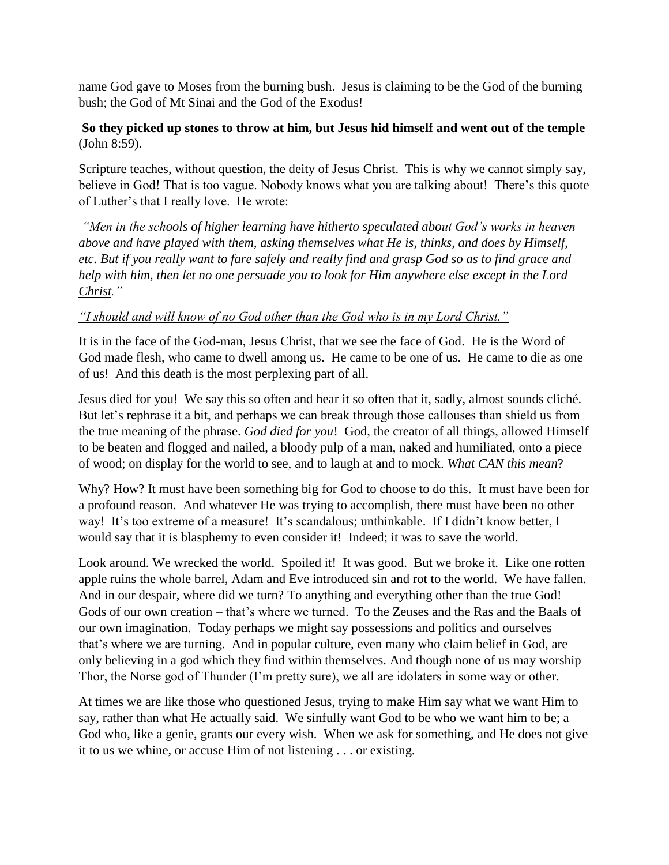name God gave to Moses from the burning bush. Jesus is claiming to be the God of the burning bush; the God of Mt Sinai and the God of the Exodus!

## **So they picked up stones to throw at him, but Jesus hid himself and went out of the temple** (John 8:59).

Scripture teaches, without question, the deity of Jesus Christ. This is why we cannot simply say, believe in God! That is too vague. Nobody knows what you are talking about! There's this quote of Luther's that I really love. He wrote:

*"Men in the schools of higher learning have hitherto speculated about God's works in heaven above and have played with them, asking themselves what He is, thinks, and does by Himself, etc. But if you really want to fare safely and really find and grasp God so as to find grace and help with him, then let no one persuade you to look for Him anywhere else except in the Lord Christ."*

### *"I should and will know of no God other than the God who is in my Lord Christ."*

It is in the face of the God-man, Jesus Christ, that we see the face of God. He is the Word of God made flesh, who came to dwell among us. He came to be one of us. He came to die as one of us! And this death is the most perplexing part of all.

Jesus died for you! We say this so often and hear it so often that it, sadly, almost sounds cliché. But let's rephrase it a bit, and perhaps we can break through those callouses than shield us from the true meaning of the phrase. *God died for you*! God, the creator of all things, allowed Himself to be beaten and flogged and nailed, a bloody pulp of a man, naked and humiliated, onto a piece of wood; on display for the world to see, and to laugh at and to mock. *What CAN this mean*?

Why? How? It must have been something big for God to choose to do this. It must have been for a profound reason. And whatever He was trying to accomplish, there must have been no other way! It's too extreme of a measure! It's scandalous; unthinkable. If I didn't know better, I would say that it is blasphemy to even consider it! Indeed; it was to save the world.

Look around. We wrecked the world. Spoiled it! It was good. But we broke it. Like one rotten apple ruins the whole barrel, Adam and Eve introduced sin and rot to the world. We have fallen. And in our despair, where did we turn? To anything and everything other than the true God! Gods of our own creation – that's where we turned. To the Zeuses and the Ras and the Baals of our own imagination. Today perhaps we might say possessions and politics and ourselves – that's where we are turning. And in popular culture, even many who claim belief in God, are only believing in a god which they find within themselves. And though none of us may worship Thor, the Norse god of Thunder (I'm pretty sure), we all are idolaters in some way or other.

At times we are like those who questioned Jesus, trying to make Him say what we want Him to say, rather than what He actually said. We sinfully want God to be who we want him to be; a God who, like a genie, grants our every wish. When we ask for something, and He does not give it to us we whine, or accuse Him of not listening . . . or existing.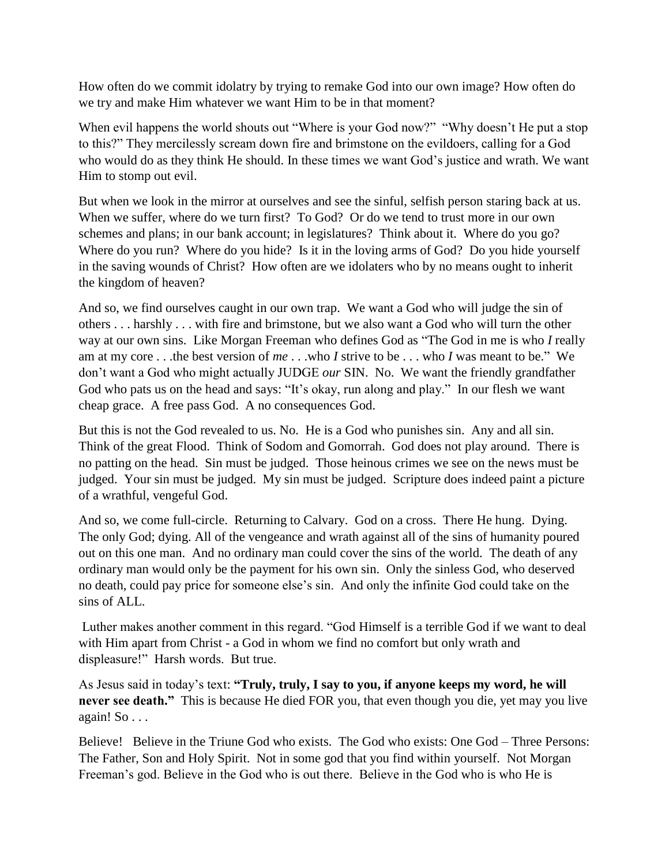How often do we commit idolatry by trying to remake God into our own image? How often do we try and make Him whatever we want Him to be in that moment?

When evil happens the world shouts out "Where is your God now?" "Why doesn't He put a stop to this?" They mercilessly scream down fire and brimstone on the evildoers, calling for a God who would do as they think He should. In these times we want God's justice and wrath. We want Him to stomp out evil.

But when we look in the mirror at ourselves and see the sinful, selfish person staring back at us. When we suffer, where do we turn first? To God? Or do we tend to trust more in our own schemes and plans; in our bank account; in legislatures? Think about it. Where do you go? Where do you run? Where do you hide? Is it in the loving arms of God? Do you hide yourself in the saving wounds of Christ? How often are we idolaters who by no means ought to inherit the kingdom of heaven?

And so, we find ourselves caught in our own trap. We want a God who will judge the sin of others . . . harshly . . . with fire and brimstone, but we also want a God who will turn the other way at our own sins. Like Morgan Freeman who defines God as "The God in me is who *I* really am at my core . . .the best version of *me* . . .who *I* strive to be . . . who *I* was meant to be." We don't want a God who might actually JUDGE *our* SIN. No. We want the friendly grandfather God who pats us on the head and says: "It's okay, run along and play." In our flesh we want cheap grace. A free pass God. A no consequences God.

But this is not the God revealed to us. No. He is a God who punishes sin. Any and all sin. Think of the great Flood. Think of Sodom and Gomorrah. God does not play around. There is no patting on the head. Sin must be judged. Those heinous crimes we see on the news must be judged. Your sin must be judged. My sin must be judged. Scripture does indeed paint a picture of a wrathful, vengeful God.

And so, we come full-circle. Returning to Calvary. God on a cross. There He hung. Dying. The only God; dying. All of the vengeance and wrath against all of the sins of humanity poured out on this one man. And no ordinary man could cover the sins of the world. The death of any ordinary man would only be the payment for his own sin. Only the sinless God, who deserved no death, could pay price for someone else's sin. And only the infinite God could take on the sins of ALL.

Luther makes another comment in this regard. "God Himself is a terrible God if we want to deal with Him apart from Christ - a God in whom we find no comfort but only wrath and displeasure!" Harsh words. But true.

As Jesus said in today's text: **"Truly, truly, I say to you, if anyone keeps my word, he will never see death."** This is because He died FOR you, that even though you die, yet may you live again! So . . .

Believe! Believe in the Triune God who exists. The God who exists: One God – Three Persons: The Father, Son and Holy Spirit. Not in some god that you find within yourself. Not Morgan Freeman's god. Believe in the God who is out there. Believe in the God who is who He is